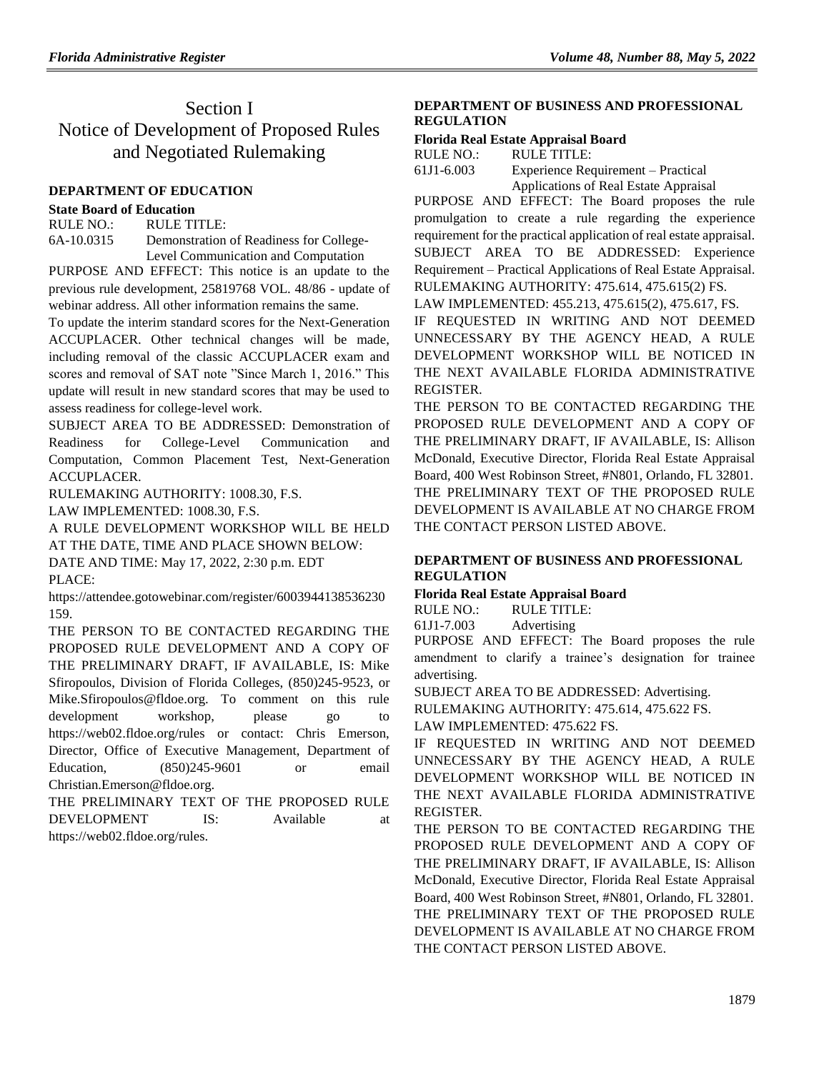# Section I Notice of Development of Proposed Rules and Negotiated Rulemaking

## **[DEPARTMENT OF EDUCATION](https://www.flrules.org/gateway/department.asp?id=6)**

## **[State Board of Education](https://www.flrules.org/gateway/organization.asp?id=195)**

RULE NO.: RULE TITLE: [6A-10.0315](https://www.flrules.org/gateway/ruleNo.asp?id=6A-10.0315) Demonstration of Readiness for College-Level Communication and Computation

PURPOSE AND EFFECT: This notice is an update to the previous rule development, 25819768 VOL. 48/86 - update of webinar address. All other information remains the same.

To update the interim standard scores for the Next-Generation ACCUPLACER. Other technical changes will be made, including removal of the classic ACCUPLACER exam and scores and removal of SAT note "Since March 1, 2016." This update will result in new standard scores that may be used to assess readiness for college-level work.

SUBJECT AREA TO BE ADDRESSED: Demonstration of Readiness for College-Level Communication and Computation, Common Placement Test, Next-Generation ACCUPLACER.

RULEMAKING AUTHORITY: [1008.30,](https://www.flrules.org/gateway/statute.asp?id=1008.30) F.S.

LAW IMPLEMENTED: [1008.30,](https://www.flrules.org/gateway/statute.asp?id=1008.30) F.S.

A RULE DEVELOPMENT WORKSHOP WILL BE HELD AT THE DATE, TIME AND PLACE SHOWN BELOW:

DATE AND TIME: May 17, 2022, 2:30 p.m. EDT PLACE:

https://attendee.gotowebinar.com/register/6003944138536230 159.

THE PERSON TO BE CONTACTED REGARDING THE PROPOSED RULE DEVELOPMENT AND A COPY OF THE PRELIMINARY DRAFT, IF AVAILABLE, IS: Mike Sfiropoulos, Division of Florida Colleges, (850)245-9523, or Mike.Sfiropoulos@fldoe.org. To comment on this rule development workshop, please go to https://web02.fldoe.org/rules or contact: Chris Emerson, Director, Office of Executive Management, Department of Education, (850)245-9601 or email Christian.Emerson@fldoe.org.

THE PRELIMINARY TEXT OF THE PROPOSED RULE DEVELOPMENT IS: Available at https://web02.fldoe.org/rules.

# **[DEPARTMENT OF BUSINESS AND PROFESSIONAL](https://www.flrules.org/gateway/department.asp?id=61)  [REGULATION](https://www.flrules.org/gateway/department.asp?id=61)**

## **[Florida Real Estate Appraisal Board](https://www.flrules.org/gateway/organization.asp?id=282)**

| RULE NO.:  | RULE TITLE:         |
|------------|---------------------|
| 61J1-6.003 | Experience Requirer |

nent – Practical Applications of Real Estate Appraisal

PURPOSE AND EFFECT: The Board proposes the rule promulgation to create a rule regarding the experience requirement for the practical application of real estate appraisal. SUBJECT AREA TO BE ADDRESSED: Experience Requirement – Practical Applications of Real Estate Appraisal. RULEMAKING AUTHORITY: [475.614,](https://www.flrules.org/gateway/statute.asp?id=475.614) [475.615\(2\) FS.](https://www.flrules.org/gateway/statute.asp?id=%20475.615(2)%20FS.)

LAW IMPLEMENTED: [455.213,](https://www.flrules.org/gateway/statute.asp?id=455.213) [475.615\(2\),](https://www.flrules.org/gateway/statute.asp?id=%20475.615(2)) [475.617,](https://www.flrules.org/gateway/statute.asp?id=%20475.617) FS.

IF REQUESTED IN WRITING AND NOT DEEMED UNNECESSARY BY THE AGENCY HEAD, A RULE DEVELOPMENT WORKSHOP WILL BE NOTICED IN THE NEXT AVAILABLE FLORIDA ADMINISTRATIVE REGISTER.

THE PERSON TO BE CONTACTED REGARDING THE PROPOSED RULE DEVELOPMENT AND A COPY OF THE PRELIMINARY DRAFT, IF AVAILABLE, IS: Allison McDonald, Executive Director, Florida Real Estate Appraisal Board, 400 West Robinson Street, #N801, Orlando, FL 32801. THE PRELIMINARY TEXT OF THE PROPOSED RULE DEVELOPMENT IS AVAILABLE AT NO CHARGE FROM THE CONTACT PERSON LISTED ABOVE.

# **[DEPARTMENT OF BUSINESS AND PROFESSIONAL](https://www.flrules.org/gateway/department.asp?id=61)  [REGULATION](https://www.flrules.org/gateway/department.asp?id=61)**

## **[Florida Real Estate Appraisal Board](https://www.flrules.org/gateway/organization.asp?id=282)**

RULE NO.: RULE TITLE:

[61J1-7.003](https://www.flrules.org/gateway/ruleNo.asp?id=61J1-7.003) Advertising

PURPOSE AND EFFECT: The Board proposes the rule amendment to clarify a trainee's designation for trainee advertising.

SUBJECT AREA TO BE ADDRESSED: Advertising.

RULEMAKING AUTHORITY: [475.614,](https://www.flrules.org/gateway/statute.asp?id=475.614) [475.622 FS.](https://www.flrules.org/gateway/statute.asp?id=%20475.622%20FS.)

LAW IMPLEMENTED: [475.622 FS.](https://www.flrules.org/gateway/statute.asp?id=475.622%20FS.)

IF REQUESTED IN WRITING AND NOT DEEMED UNNECESSARY BY THE AGENCY HEAD, A RULE DEVELOPMENT WORKSHOP WILL BE NOTICED IN THE NEXT AVAILABLE FLORIDA ADMINISTRATIVE REGISTER.

THE PERSON TO BE CONTACTED REGARDING THE PROPOSED RULE DEVELOPMENT AND A COPY OF THE PRELIMINARY DRAFT, IF AVAILABLE, IS: Allison McDonald, Executive Director, Florida Real Estate Appraisal Board, 400 West Robinson Street, #N801, Orlando, FL 32801. THE PRELIMINARY TEXT OF THE PROPOSED RULE DEVELOPMENT IS AVAILABLE AT NO CHARGE FROM THE CONTACT PERSON LISTED ABOVE.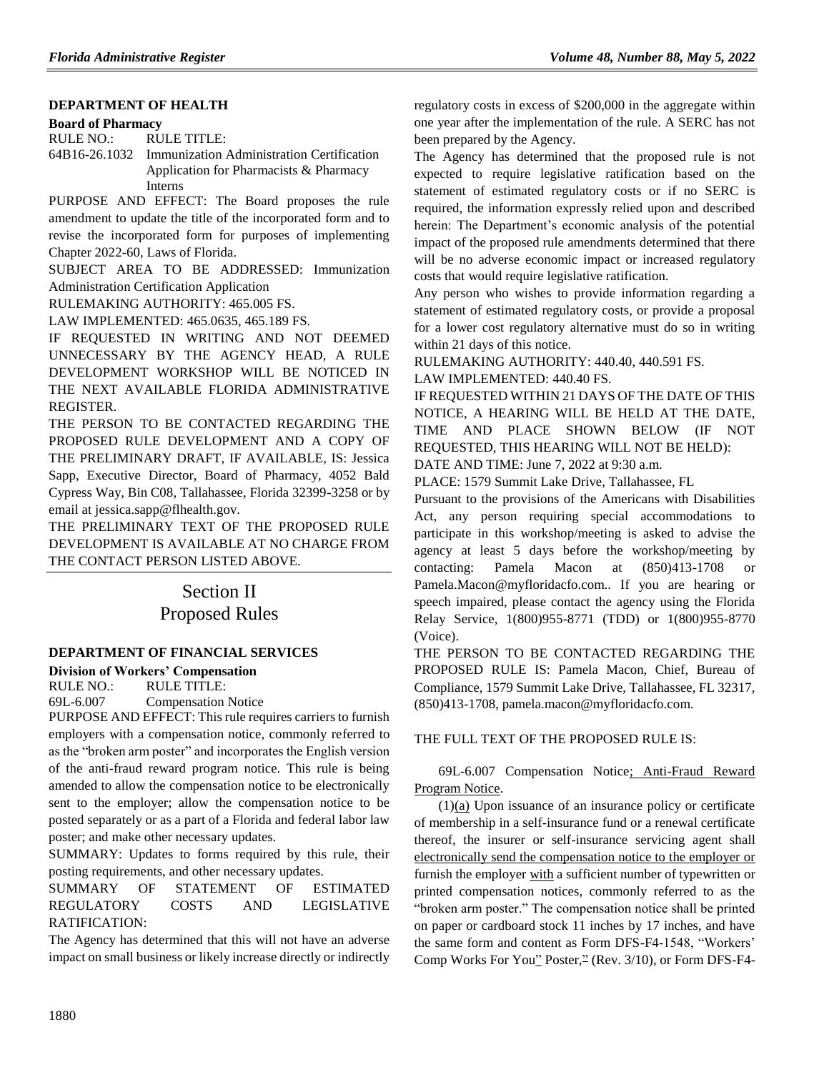### **[DEPARTMENT OF HEALTH](https://www.flrules.org/gateway/department.asp?id=64)**

#### **[Board of Pharmacy](https://www.flrules.org/gateway/organization.asp?id=307)**

RULE NO.: RULE TITLE: [64B16-26.1032](https://www.flrules.org/gateway/ruleNo.asp?id=64B16-26.1032) Immunization Administration Certification Application for Pharmacists & Pharmacy Interns

PURPOSE AND EFFECT: The Board proposes the rule amendment to update the title of the incorporated form and to revise the incorporated form for purposes of implementing Chapter 2022-60, Laws of Florida.

SUBJECT AREA TO BE ADDRESSED: Immunization Administration Certification Application

RULEMAKING AUTHORITY: [465.005 FS.](https://www.flrules.org/gateway/statute.asp?id=465.005%20FS.)

LAW IMPLEMENTED: [465.0635,](https://www.flrules.org/gateway/statute.asp?id=465.0635) [465.189 FS.](https://www.flrules.org/gateway/statute.asp?id=%20465.189%20FS.)

IF REQUESTED IN WRITING AND NOT DEEMED UNNECESSARY BY THE AGENCY HEAD, A RULE DEVELOPMENT WORKSHOP WILL BE NOTICED IN THE NEXT AVAILABLE FLORIDA ADMINISTRATIVE REGISTER.

THE PERSON TO BE CONTACTED REGARDING THE PROPOSED RULE DEVELOPMENT AND A COPY OF THE PRELIMINARY DRAFT, IF AVAILABLE, IS: Jessica Sapp, Executive Director, Board of Pharmacy, 4052 Bald Cypress Way, Bin C08, Tallahassee, Florida 32399-3258 or by email at jessica.sapp@flhealth.gov.

THE PRELIMINARY TEXT OF THE PROPOSED RULE DEVELOPMENT IS AVAILABLE AT NO CHARGE FROM THE CONTACT PERSON LISTED ABOVE.

# Section II Proposed Rules

# **[DEPARTMENT OF FINANCIAL SERVICES](https://www.flrules.org/gateway/department.asp?id=69)**

**[Division of Workers' Compensation](https://www.flrules.org/gateway/organization.asp?id=370)**

RULE NO.: RULE TITLE: [69L-6.007](https://www.flrules.org/gateway/ruleNo.asp?id=69L-6.007) Compensation Notice

PURPOSE AND EFFECT: This rule requires carriers to furnish employers with a compensation notice, commonly referred to as the "broken arm poster" and incorporates the English version of the anti-fraud reward program notice. This rule is being amended to allow the compensation notice to be electronically sent to the employer; allow the compensation notice to be posted separately or as a part of a Florida and federal labor law poster; and make other necessary updates.

SUMMARY: Updates to forms required by this rule, their posting requirements, and other necessary updates.

SUMMARY OF STATEMENT OF ESTIMATED REGULATORY COSTS AND LEGISLATIVE RATIFICATION:

The Agency has determined that this will not have an adverse impact on small business or likely increase directly or indirectly regulatory costs in excess of \$200,000 in the aggregate within one year after the implementation of the rule. A SERC has not been prepared by the Agency.

The Agency has determined that the proposed rule is not expected to require legislative ratification based on the statement of estimated regulatory costs or if no SERC is required, the information expressly relied upon and described herein: The Department's economic analysis of the potential impact of the proposed rule amendments determined that there will be no adverse economic impact or increased regulatory costs that would require legislative ratification.

Any person who wishes to provide information regarding a statement of estimated regulatory costs, or provide a proposal for a lower cost regulatory alternative must do so in writing within 21 days of this notice.

RULEMAKING AUTHORITY: [440.40,](https://www.flrules.org/gateway/statute.asp?id=440.40) [440.591 FS.](https://www.flrules.org/gateway/statute.asp?id=%20440.591%20FS.)

LAW IMPLEMENTED: [440.40 FS.](https://www.flrules.org/gateway/statute.asp?id=440.40%20FS.)

IF REQUESTED WITHIN 21 DAYS OF THE DATE OF THIS NOTICE, A HEARING WILL BE HELD AT THE DATE, TIME AND PLACE SHOWN BELOW (IF NOT REQUESTED, THIS HEARING WILL NOT BE HELD): DATE AND TIME: June 7, 2022 at 9:30 a.m.

PLACE: 1579 Summit Lake Drive, Tallahassee, FL

Pursuant to the provisions of the Americans with Disabilities Act, any person requiring special accommodations to participate in this workshop/meeting is asked to advise the agency at least 5 days before the workshop/meeting by contacting: Pamela Macon at (850)413-1708 or Pamela.Macon@myfloridacfo.com.. If you are hearing or speech impaired, please contact the agency using the Florida Relay Service, 1(800)955-8771 (TDD) or 1(800)955-8770 (Voice).

THE PERSON TO BE CONTACTED REGARDING THE PROPOSED RULE IS: Pamela Macon, Chief, Bureau of Compliance, 1579 Summit Lake Drive, Tallahassee, FL 32317, (850)413-1708, pamela.macon@myfloridacfo.com.

## THE FULL TEXT OF THE PROPOSED RULE IS:

# 69L-6.007 Compensation Notice; Anti-Fraud Reward Program Notice.

(1)(a) Upon issuance of an insurance policy or certificate of membership in a self-insurance fund or a renewal certificate thereof, the insurer or self-insurance servicing agent shall electronically send the compensation notice to the employer or furnish the employer with a sufficient number of typewritten or printed compensation notices, commonly referred to as the "broken arm poster." The compensation notice shall be printed on paper or cardboard stock 11 inches by 17 inches, and have the same form and content as Form DFS-F4-1548, "Workers' Comp Works For You" Poster,<sup>22</sup> (Rev. 3/10), or Form DFS-F4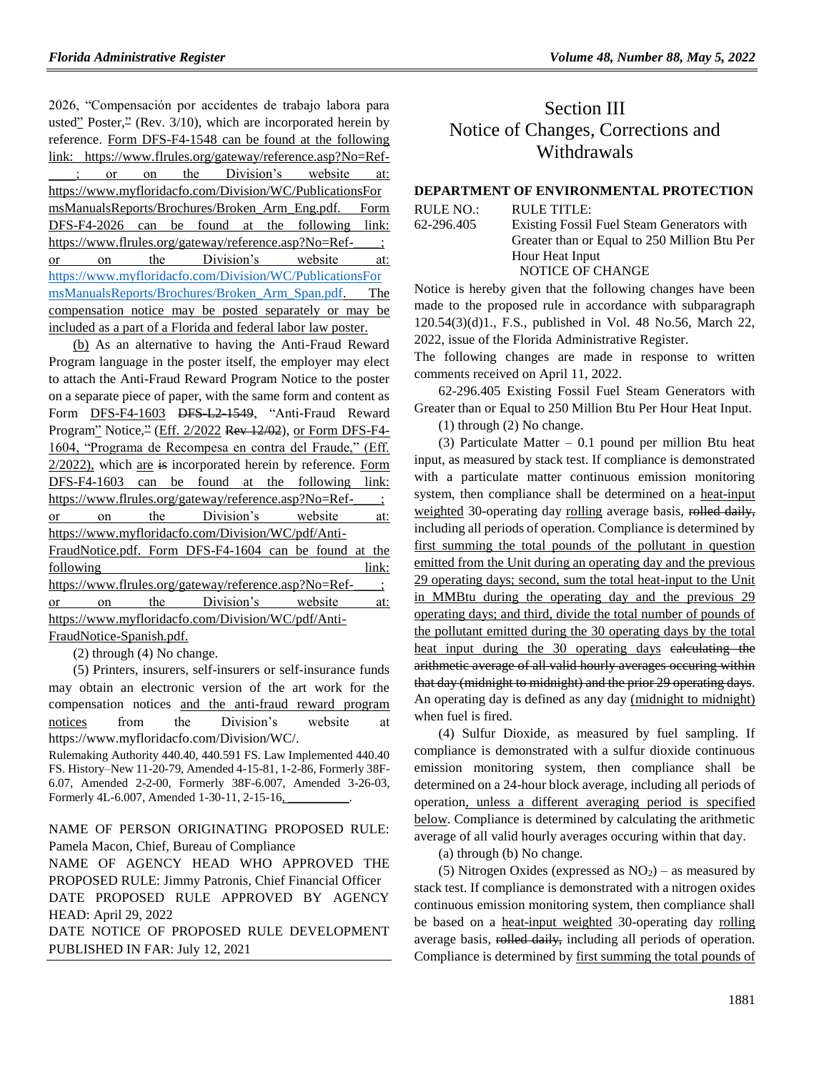2026, "Compensación por accidentes de trabajo labora para usted" Poster, $\frac{3}{10}$ , (Rev. 3/10), which are incorporated herein by reference. Form DFS-F4-1548 can be found at the following link: https://www.flrules.org/gateway/reference.asp?No=Ref or on the Division's website at: https://www.myfloridacfo.com/Division/WC/PublicationsFor msManualsReports/Brochures/Broken\_Arm\_Eng.pdf. Form DFS-F4-2026 can be found at the following link: https://www.flrules.org/gateway/reference.asp?No=Ref-\_\_\_\_; or on the Division's website at: [https://www.myfloridacfo.com/Division/WC/PublicationsFor](https://www.myfloridacfo.com/Division/WC/PublicationsFormsManualsReports/Brochures/Broken_Arm_Span.pdf) [msManualsReports/Brochures/Broken\\_Arm\\_Span.pdf.](https://www.myfloridacfo.com/Division/WC/PublicationsFormsManualsReports/Brochures/Broken_Arm_Span.pdf) The compensation notice may be posted separately or may be included as a part of a Florida and federal labor law poster.

(b) As an alternative to having the Anti-Fraud Reward Program language in the poster itself, the employer may elect to attach the Anti-Fraud Reward Program Notice to the poster on a separate piece of paper, with the same form and content as Form DFS-F4-1603 DFS L2-1549, "Anti-Fraud Reward Program" Notice,<sup>2</sup> (Eff. 2/2022 Rev 12/02), or Form DFS-F4-1604, "Programa de Recompesa en contra del Fraude," (Eff. 2/2022), which are is incorporated herein by reference. Form DFS-F4-1603 can be found at the following link: https://www.flrules.org/gateway/reference.asp?No=Ref-\_\_\_\_; or on the Division's website at: https://www.myfloridacfo.com/Division/WC/pdf/Anti-FraudNotice.pdf. Form DFS-F4-1604 can be found at the following link: https://www.flrules.org/gateway/reference.asp?No=Ref-\_\_\_\_; or on the Division's website at: https://www.myfloridacfo.com/Division/WC/pdf/Anti-FraudNotice-Spanish.pdf.

(2) through (4) No change.

(5) Printers, insurers, self-insurers or self-insurance funds may obtain an electronic version of the art work for the compensation notices and the anti-fraud reward program notices from the Division's website at https://www.myfloridacfo.com/Division/WC/.

Rulemaking Authority 440.40, 440.591 FS. Law Implemented 440.40 FS. History–New 11-20-79, Amended 4-15-81, 1-2-86, Formerly 38F-6.07, Amended 2-2-00, Formerly 38F-6.007, Amended 3-26-03, Formerly 4L-6.007, Amended 1-30-11, 2-15-16,

NAME OF PERSON ORIGINATING PROPOSED RULE: Pamela Macon, Chief, Bureau of Compliance

NAME OF AGENCY HEAD WHO APPROVED THE PROPOSED RULE: Jimmy Patronis, Chief Financial Officer DATE PROPOSED RULE APPROVED BY AGENCY HEAD: April 29, 2022

DATE NOTICE OF PROPOSED RULE DEVELOPMENT PUBLISHED IN FAR: July 12, 2021

# Section III Notice of Changes, Corrections and Withdrawals

## **[DEPARTMENT OF ENVIRONMENTAL PROTECTION](https://www.flrules.org/gateway/department.asp?id=62)**

| RULE NO.:  | RULE TITLE:                                  |
|------------|----------------------------------------------|
| 62-296.405 | Existing Fossil Fuel Steam Generators with   |
|            | Greater than or Equal to 250 Million Btu Per |
|            | Hour Heat Input                              |
|            | NOTICE OF CHANGE                             |
|            |                                              |

Notice is hereby given that the following changes have been made to the proposed rule in accordance with subparagraph 120.54(3)(d)1., F.S., published in Vol. 48 No.56, March 22, 2022, issue of the Florida Administrative Register.

The following changes are made in response to written comments received on April 11, 2022.

62-296.405 Existing Fossil Fuel Steam Generators with Greater than or Equal to 250 Million Btu Per Hour Heat Input.

(1) through (2) No change.

(3) Particulate Matter  $-0.1$  pound per million Btu heat input, as measured by stack test. If compliance is demonstrated with a particulate matter continuous emission monitoring system, then compliance shall be determined on a heat-input weighted 30-operating day rolling average basis, rolled daily, including all periods of operation. Compliance is determined by first summing the total pounds of the pollutant in question emitted from the Unit during an operating day and the previous 29 operating days; second, sum the total heat-input to the Unit in MMBtu during the operating day and the previous 29 operating days; and third, divide the total number of pounds of the pollutant emitted during the 30 operating days by the total heat input during the 30 operating days calculating the arithmetic average of all valid hourly averages occuring within that day (midnight to midnight) and the prior 29 operating days. An operating day is defined as any day (midnight to midnight) when fuel is fired.

(4) Sulfur Dioxide, as measured by fuel sampling. If compliance is demonstrated with a sulfur dioxide continuous emission monitoring system, then compliance shall be determined on a 24-hour block average, including all periods of operation, unless a different averaging period is specified below. Compliance is determined by calculating the arithmetic average of all valid hourly averages occuring within that day.

(a) through (b) No change.

(5) Nitrogen Oxides (expressed as  $NO<sub>2</sub>$ ) – as measured by stack test. If compliance is demonstrated with a nitrogen oxides continuous emission monitoring system, then compliance shall be based on a heat-input weighted 30-operating day rolling average basis, rolled daily, including all periods of operation. Compliance is determined by first summing the total pounds of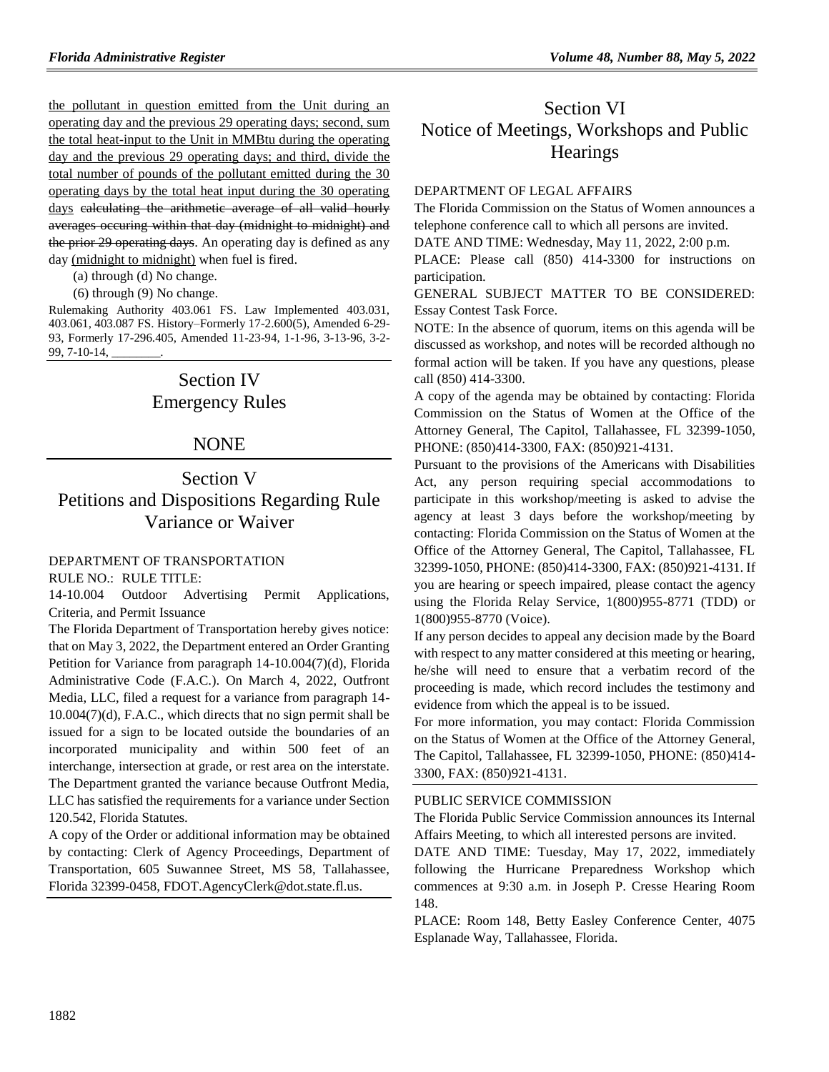the pollutant in question emitted from the Unit during an operating day and the previous 29 operating days; second, sum the total heat-input to the Unit in MMBtu during the operating day and the previous 29 operating days; and third, divide the total number of pounds of the pollutant emitted during the 30 operating days by the total heat input during the 30 operating days calculating the arithmetic average of all valid hourly averages occuring within that day (midnight to midnight) and the prior 29 operating days. An operating day is defined as any day (midnight to midnight) when fuel is fired.

(a) through (d) No change.

(6) through (9) No change.

Rulemaking Authority 403.061 FS. Law Implemented 403.031, 403.061, 403.087 FS. History–Formerly 17-2.600(5), Amended 6-29- 93, Formerly 17-296.405, Amended 11-23-94, 1-1-96, 3-13-96, 3-2- 99, 7-10-14, \_\_\_\_\_\_\_\_.

# Section IV Emergency Rules

# NONE

# Section V Petitions and Dispositions Regarding Rule Variance or Waiver

## [DEPARTMENT OF TRANSPORTATION](https://www.flrules.org/gateway/department.asp?id=14)

RULE NO.: RULE TITLE:

[14-10.004](https://www.flrules.org/gateway/ruleNo.asp?id=14-10.004) Outdoor Advertising Permit Applications, Criteria, and Permit Issuance

The Florida Department of Transportation hereby gives notice: that on May 3, 2022, the Department entered an Order Granting Petition for Variance from paragraph 14-10.004(7)(d), Florida Administrative Code (F.A.C.). On March 4, 2022, Outfront Media, LLC, filed a request for a variance from paragraph 14- 10.004(7)(d), F.A.C., which directs that no sign permit shall be issued for a sign to be located outside the boundaries of an incorporated municipality and within 500 feet of an interchange, intersection at grade, or rest area on the interstate. The Department granted the variance because Outfront Media, LLC has satisfied the requirements for a variance under Section 120.542, Florida Statutes.

A copy of the Order or additional information may be obtained by contacting: Clerk of Agency Proceedings, Department of Transportation, 605 Suwannee Street, MS 58, Tallahassee, Florida 32399-0458, FDOT.AgencyClerk@dot.state.fl.us.

# Section VI Notice of Meetings, Workshops and Public **Hearings**

### [DEPARTMENT OF LEGAL AFFAIRS](https://www.flrules.org/gateway/department.asp?id=2)

The Florida Commission on the Status of Women announces a telephone conference call to which all persons are invited.

DATE AND TIME: Wednesday, May 11, 2022, 2:00 p.m.

PLACE: Please call (850) 414-3300 for instructions on participation.

GENERAL SUBJECT MATTER TO BE CONSIDERED: Essay Contest Task Force.

NOTE: In the absence of quorum, items on this agenda will be discussed as workshop, and notes will be recorded although no formal action will be taken. If you have any questions, please call (850) 414-3300.

A copy of the agenda may be obtained by contacting: Florida Commission on the Status of Women at the Office of the Attorney General, The Capitol, Tallahassee, FL 32399-1050, PHONE: (850)414-3300, FAX: (850)921-4131.

Pursuant to the provisions of the Americans with Disabilities Act, any person requiring special accommodations to participate in this workshop/meeting is asked to advise the agency at least 3 days before the workshop/meeting by contacting: Florida Commission on the Status of Women at the Office of the Attorney General, The Capitol, Tallahassee, FL 32399-1050, PHONE: (850)414-3300, FAX: (850)921-4131. If you are hearing or speech impaired, please contact the agency using the Florida Relay Service, 1(800)955-8771 (TDD) or 1(800)955-8770 (Voice).

If any person decides to appeal any decision made by the Board with respect to any matter considered at this meeting or hearing, he/she will need to ensure that a verbatim record of the proceeding is made, which record includes the testimony and evidence from which the appeal is to be issued.

For more information, you may contact: Florida Commission on the Status of Women at the Office of the Attorney General, The Capitol, Tallahassee, FL 32399-1050, PHONE: (850)414- 3300, FAX: (850)921-4131.

#### [PUBLIC SERVICE COMMISSION](https://www.flrules.org/gateway/department.asp?id=25)

The Florida Public Service Commission announces its Internal Affairs Meeting, to which all interested persons are invited.

DATE AND TIME: Tuesday, May 17, 2022, immediately following the Hurricane Preparedness Workshop which commences at 9:30 a.m. in Joseph P. Cresse Hearing Room 148.

PLACE: Room 148, Betty Easley Conference Center, 4075 Esplanade Way, Tallahassee, Florida.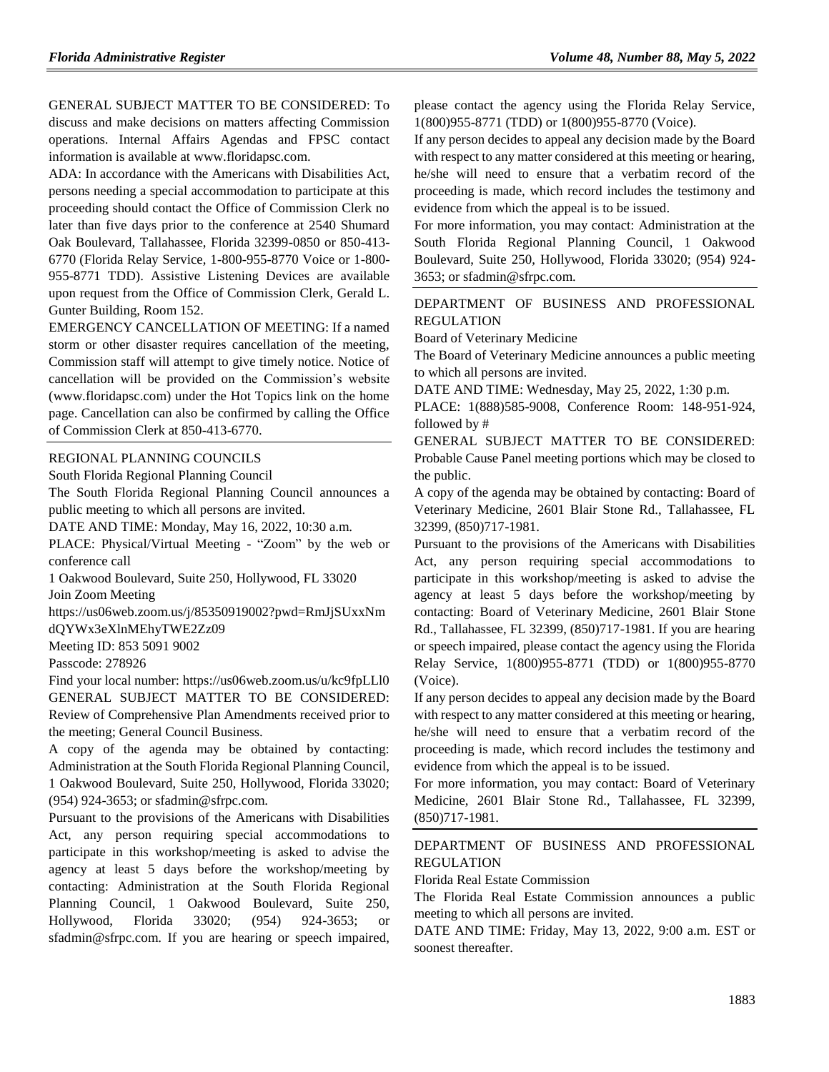GENERAL SUBJECT MATTER TO BE CONSIDERED: To discuss and make decisions on matters affecting Commission operations. Internal Affairs Agendas and FPSC contact information is available at [www.floridapsc.com.](http://www.floridapsc.com/)

ADA: In accordance with the Americans with Disabilities Act, persons needing a special accommodation to participate at this proceeding should contact the Office of Commission Clerk no later than five days prior to the conference at 2540 Shumard Oak Boulevard, Tallahassee, Florida 32399-0850 or 850-413- 6770 (Florida Relay Service, 1-800-955-8770 Voice or 1-800- 955-8771 TDD). Assistive Listening Devices are available upon request from the Office of Commission Clerk, Gerald L. Gunter Building, Room 152.

EMERGENCY CANCELLATION OF MEETING: If a named storm or other disaster requires cancellation of the meeting, Commission staff will attempt to give timely notice. Notice of cancellation will be provided on the Commission's website [\(www.](http://www/)floridapsc.com) under the Hot Topics link on the home page. Cancellation can also be confirmed by calling the Office of Commission Clerk at 850-413-6770.

#### [REGIONAL PLANNING COUNCILS](https://www.flrules.org/gateway/department.asp?id=29)

[South Florida Regional Planning Council](https://www.flrules.org/gateway/organization.asp?id=66)

The South Florida Regional Planning Council announces a public meeting to which all persons are invited.

DATE AND TIME: Monday, May 16, 2022, 10:30 a.m.

PLACE: Physical/Virtual Meeting - "Zoom" by the web or conference call

1 Oakwood Boulevard, Suite 250, Hollywood, FL 33020

Join Zoom Meeting

https://us06web.zoom.us/j/85350919002?pwd=RmJjSUxxNm dQYWx3eXlnMEhyTWE2Zz09

Meeting ID: 853 5091 9002

Passcode: 278926

Find your local number: https://us06web.zoom.us/u/kc9fpLLl0 GENERAL SUBJECT MATTER TO BE CONSIDERED: Review of Comprehensive Plan Amendments received prior to the meeting; General Council Business.

A copy of the agenda may be obtained by contacting: Administration at the South Florida Regional Planning Council, 1 Oakwood Boulevard, Suite 250, Hollywood, Florida 33020; (954) 924-3653; or sfadmin@sfrpc.com.

Pursuant to the provisions of the Americans with Disabilities Act, any person requiring special accommodations to participate in this workshop/meeting is asked to advise the agency at least 5 days before the workshop/meeting by contacting: Administration at the South Florida Regional Planning Council, 1 Oakwood Boulevard, Suite 250, Hollywood, Florida 33020; (954) 924-3653; or sfadmin@sfrpc.com. If you are hearing or speech impaired,

please contact the agency using the Florida Relay Service, 1(800)955-8771 (TDD) or 1(800)955-8770 (Voice).

If any person decides to appeal any decision made by the Board with respect to any matter considered at this meeting or hearing, he/she will need to ensure that a verbatim record of the proceeding is made, which record includes the testimony and evidence from which the appeal is to be issued.

For more information, you may contact: Administration at the South Florida Regional Planning Council, 1 Oakwood Boulevard, Suite 250, Hollywood, Florida 33020; (954) 924- 3653; or sfadmin@sfrpc.com.

[DEPARTMENT OF BUSINESS AND PROFESSIONAL](https://www.flrules.org/gateway/department.asp?id=61)  [REGULATION](https://www.flrules.org/gateway/department.asp?id=61)

[Board of Veterinary Medicine](https://www.flrules.org/gateway/organization.asp?id=270)

The Board of Veterinary Medicine announces a public meeting to which all persons are invited.

DATE AND TIME: Wednesday, May 25, 2022, 1:30 p.m.

PLACE: 1(888)585-9008, Conference Room: 148-951-924, followed by #

GENERAL SUBJECT MATTER TO BE CONSIDERED: Probable Cause Panel meeting portions which may be closed to the public.

A copy of the agenda may be obtained by contacting: Board of Veterinary Medicine, 2601 Blair Stone Rd., Tallahassee, FL 32399, (850)717-1981.

Pursuant to the provisions of the Americans with Disabilities Act, any person requiring special accommodations to participate in this workshop/meeting is asked to advise the agency at least 5 days before the workshop/meeting by contacting: Board of Veterinary Medicine, 2601 Blair Stone Rd., Tallahassee, FL 32399, (850)717-1981. If you are hearing or speech impaired, please contact the agency using the Florida Relay Service, 1(800)955-8771 (TDD) or 1(800)955-8770 (Voice).

If any person decides to appeal any decision made by the Board with respect to any matter considered at this meeting or hearing, he/she will need to ensure that a verbatim record of the proceeding is made, which record includes the testimony and evidence from which the appeal is to be issued.

For more information, you may contact: Board of Veterinary Medicine, 2601 Blair Stone Rd., Tallahassee, FL 32399, (850)717-1981.

# [DEPARTMENT OF BUSINESS AND PROFESSIONAL](https://www.flrules.org/gateway/department.asp?id=61)  [REGULATION](https://www.flrules.org/gateway/department.asp?id=61)

[Florida Real Estate Commission](https://www.flrules.org/gateway/organization.asp?id=283)

The Florida Real Estate Commission announces a public meeting to which all persons are invited.

DATE AND TIME: Friday, May 13, 2022, 9:00 a.m. EST or soonest thereafter.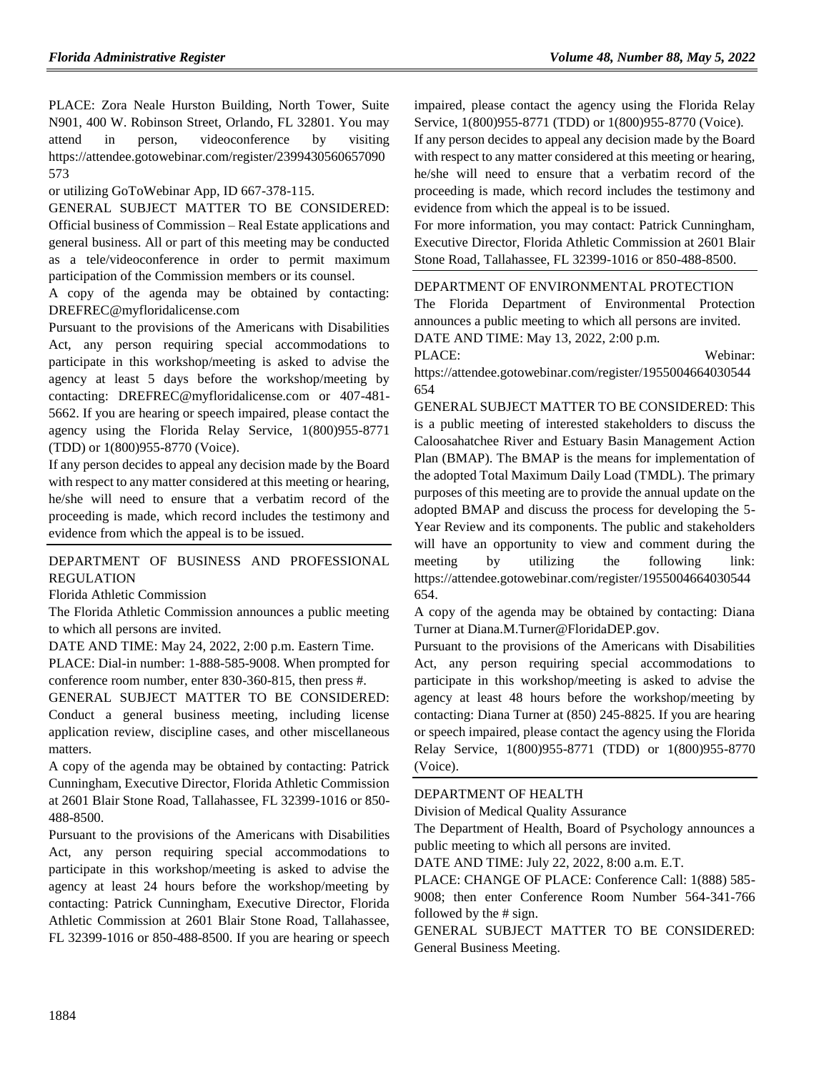PLACE: Zora Neale Hurston Building, North Tower, Suite N901, 400 W. Robinson Street, Orlando, FL 32801. You may attend in person, videoconference by visiting https://attendee.gotowebinar.com/register/2399430560657090 573

or utilizing GoToWebinar App, ID 667-378-115.

GENERAL SUBJECT MATTER TO BE CONSIDERED: Official business of Commission – Real Estate applications and general business. All or part of this meeting may be conducted as a tele/videoconference in order to permit maximum participation of the Commission members or its counsel.

A copy of the agenda may be obtained by contacting: DREFREC@myfloridalicense.com

Pursuant to the provisions of the Americans with Disabilities Act, any person requiring special accommodations to participate in this workshop/meeting is asked to advise the agency at least 5 days before the workshop/meeting by contacting: DREFREC@myfloridalicense.com or 407-481- 5662. If you are hearing or speech impaired, please contact the agency using the Florida Relay Service, 1(800)955-8771 (TDD) or 1(800)955-8770 (Voice).

If any person decides to appeal any decision made by the Board with respect to any matter considered at this meeting or hearing, he/she will need to ensure that a verbatim record of the proceeding is made, which record includes the testimony and evidence from which the appeal is to be issued.

# [DEPARTMENT OF BUSINESS AND PROFESSIONAL](https://www.flrules.org/gateway/department.asp?id=61)  [REGULATION](https://www.flrules.org/gateway/department.asp?id=61)

[Florida Athletic Commission](https://www.flrules.org/gateway/organization.asp?id=285)

The Florida Athletic Commission announces a public meeting to which all persons are invited.

DATE AND TIME: May 24, 2022, 2:00 p.m. Eastern Time.

PLACE: Dial-in number: 1-888-585-9008. When prompted for conference room number, enter 830-360-815, then press #.

GENERAL SUBJECT MATTER TO BE CONSIDERED: Conduct a general business meeting, including license application review, discipline cases, and other miscellaneous matters.

A copy of the agenda may be obtained by contacting: Patrick Cunningham, Executive Director, Florida Athletic Commission at 2601 Blair Stone Road, Tallahassee, FL 32399-1016 or 850- 488-8500.

Pursuant to the provisions of the Americans with Disabilities Act, any person requiring special accommodations to participate in this workshop/meeting is asked to advise the agency at least 24 hours before the workshop/meeting by contacting: Patrick Cunningham, Executive Director, Florida Athletic Commission at 2601 Blair Stone Road, Tallahassee, FL 32399-1016 or 850-488-8500. If you are hearing or speech impaired, please contact the agency using the Florida Relay Service, 1(800)955-8771 (TDD) or 1(800)955-8770 (Voice).

If any person decides to appeal any decision made by the Board with respect to any matter considered at this meeting or hearing, he/she will need to ensure that a verbatim record of the proceeding is made, which record includes the testimony and evidence from which the appeal is to be issued.

For more information, you may contact: Patrick Cunningham, Executive Director, Florida Athletic Commission at 2601 Blair Stone Road, Tallahassee, FL 32399-1016 or 850-488-8500.

## [DEPARTMENT OF ENVIRONMENTAL PROTECTION](https://www.flrules.org/gateway/department.asp?id=62)

The Florida Department of Environmental Protection announces a public meeting to which all persons are invited.

DATE AND TIME: May 13, 2022, 2:00 p.m. PLACE: Webinar:

https://attendee.gotowebinar.com/register/1955004664030544 654

GENERAL SUBJECT MATTER TO BE CONSIDERED: This is a public meeting of interested stakeholders to discuss the Caloosahatchee River and Estuary Basin Management Action Plan (BMAP). The BMAP is the means for implementation of the adopted Total Maximum Daily Load (TMDL). The primary purposes of this meeting are to provide the annual update on the adopted BMAP and discuss the process for developing the 5- Year Review and its components. The public and stakeholders will have an opportunity to view and comment during the meeting by utilizing the following link: https://attendee.gotowebinar.com/register/1955004664030544 654.

A copy of the agenda may be obtained by contacting: Diana Turner at Diana.M.Turner@FloridaDEP.gov.

Pursuant to the provisions of the Americans with Disabilities Act, any person requiring special accommodations to participate in this workshop/meeting is asked to advise the agency at least 48 hours before the workshop/meeting by contacting: Diana Turner at (850) 245-8825. If you are hearing or speech impaired, please contact the agency using the Florida Relay Service, 1(800)955-8771 (TDD) or 1(800)955-8770 (Voice).

#### [DEPARTMENT OF HEALTH](https://www.flrules.org/gateway/department.asp?id=64)

[Division of Medical Quality Assurance](https://www.flrules.org/gateway/organization.asp?id=299)

The Department of Health, Board of Psychology announces a public meeting to which all persons are invited.

DATE AND TIME: July 22, 2022, 8:00 a.m. E.T.

PLACE: CHANGE OF PLACE: Conference Call: 1(888) 585- 9008; then enter Conference Room Number 564-341-766 followed by the # sign.

GENERAL SUBJECT MATTER TO BE CONSIDERED: General Business Meeting.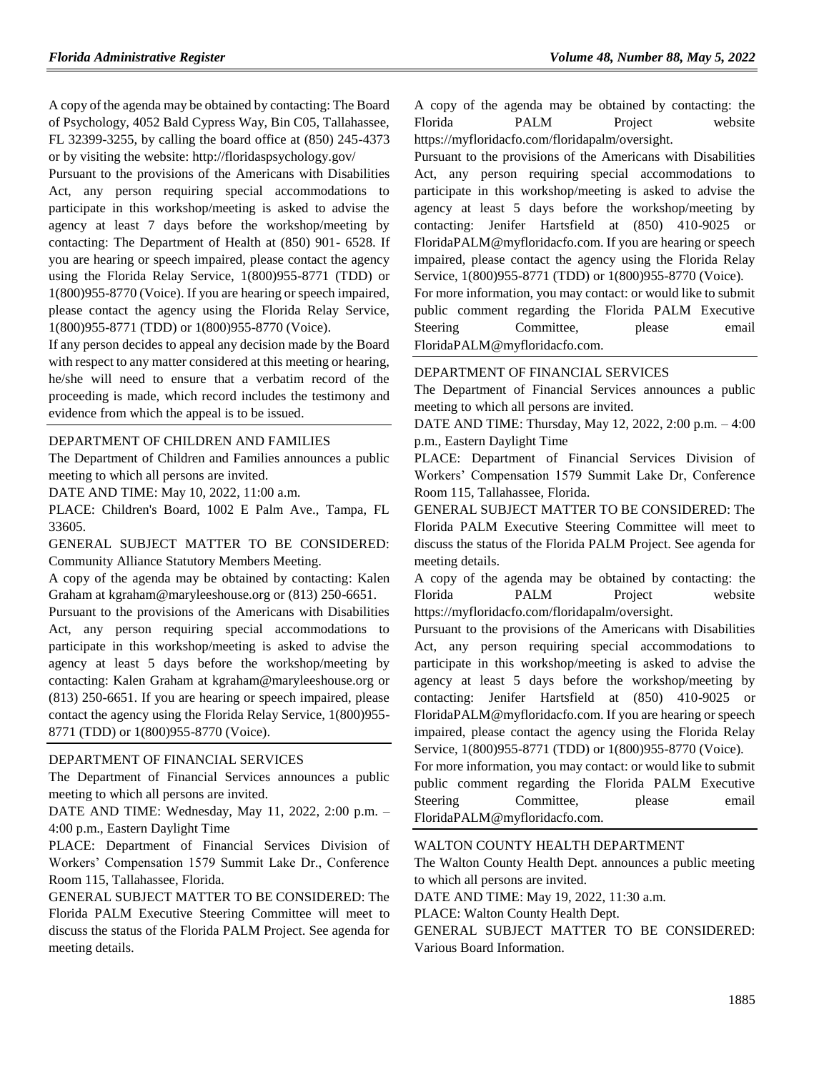A copy of the agenda may be obtained by contacting: The Board of Psychology, 4052 Bald Cypress Way, Bin C05, Tallahassee, FL 32399-3255, by calling the board office at (850) 245-4373 or by visiting the website: http://floridaspsychology.gov/

Pursuant to the provisions of the Americans with Disabilities Act, any person requiring special accommodations to participate in this workshop/meeting is asked to advise the agency at least 7 days before the workshop/meeting by contacting: The Department of Health at (850) 901- 6528. If you are hearing or speech impaired, please contact the agency using the Florida Relay Service, 1(800)955-8771 (TDD) or 1(800)955-8770 (Voice). If you are hearing or speech impaired, please contact the agency using the Florida Relay Service, 1(800)955-8771 (TDD) or 1(800)955-8770 (Voice).

If any person decides to appeal any decision made by the Board with respect to any matter considered at this meeting or hearing, he/she will need to ensure that a verbatim record of the proceeding is made, which record includes the testimony and evidence from which the appeal is to be issued.

### [DEPARTMENT OF CHILDREN AND FAMILIES](https://www.flrules.org/gateway/department.asp?id=65)

The Department of Children and Families announces a public meeting to which all persons are invited.

DATE AND TIME: May 10, 2022, 11:00 a.m.

PLACE: Children's Board, 1002 E Palm Ave., Tampa, FL 33605.

GENERAL SUBJECT MATTER TO BE CONSIDERED: Community Alliance Statutory Members Meeting.

A copy of the agenda may be obtained by contacting: Kalen Graham at kgraham@maryleeshouse.org or (813) 250-6651.

Pursuant to the provisions of the Americans with Disabilities Act, any person requiring special accommodations to participate in this workshop/meeting is asked to advise the agency at least 5 days before the workshop/meeting by contacting: Kalen Graham at kgraham@maryleeshouse.org or (813) 250-6651. If you are hearing or speech impaired, please contact the agency using the Florida Relay Service, 1(800)955- 8771 (TDD) or 1(800)955-8770 (Voice).

#### [DEPARTMENT OF FINANCIAL SERVICES](https://www.flrules.org/gateway/department.asp?id=69)

The Department of Financial Services announces a public meeting to which all persons are invited.

DATE AND TIME: Wednesday, May 11, 2022, 2:00 p.m. – 4:00 p.m., Eastern Daylight Time

PLACE: Department of Financial Services Division of Workers' Compensation 1579 Summit Lake Dr., Conference Room 115, Tallahassee, Florida.

GENERAL SUBJECT MATTER TO BE CONSIDERED: The Florida PALM Executive Steering Committee will meet to discuss the status of the Florida PALM Project. See agenda for meeting details.

A copy of the agenda may be obtained by contacting: the Florida PALM Project website https://myfloridacfo.com/floridapalm/oversight.

Pursuant to the provisions of the Americans with Disabilities Act, any person requiring special accommodations to participate in this workshop/meeting is asked to advise the agency at least 5 days before the workshop/meeting by contacting: Jenifer Hartsfield at (850) 410-9025 or FloridaPALM@myfloridacfo.com. If you are hearing or speech impaired, please contact the agency using the Florida Relay Service, 1(800)955-8771 (TDD) or 1(800)955-8770 (Voice).

For more information, you may contact: or would like to submit public comment regarding the Florida PALM Executive Steering Committee, please email FloridaPALM@myfloridacfo.com.

#### [DEPARTMENT OF FINANCIAL SERVICES](https://www.flrules.org/gateway/department.asp?id=69)

The Department of Financial Services announces a public meeting to which all persons are invited.

DATE AND TIME: Thursday, May 12, 2022, 2:00 p.m. – 4:00 p.m., Eastern Daylight Time

PLACE: Department of Financial Services Division of Workers' Compensation 1579 Summit Lake Dr, Conference Room 115, Tallahassee, Florida.

GENERAL SUBJECT MATTER TO BE CONSIDERED: The Florida PALM Executive Steering Committee will meet to discuss the status of the Florida PALM Project. See agenda for meeting details.

A copy of the agenda may be obtained by contacting: the Florida PALM Project website https://myfloridacfo.com/floridapalm/oversight.

Pursuant to the provisions of the Americans with Disabilities Act, any person requiring special accommodations to participate in this workshop/meeting is asked to advise the agency at least 5 days before the workshop/meeting by contacting: Jenifer Hartsfield at (850) 410-9025 or FloridaPALM@myfloridacfo.com. If you are hearing or speech impaired, please contact the agency using the Florida Relay Service, 1(800)955-8771 (TDD) or 1(800)955-8770 (Voice).

For more information, you may contact: or would like to submit public comment regarding the Florida PALM Executive Steering Committee, please email FloridaPALM@myfloridacfo.com.

#### [WALTON COUNTY HEALTH DEPARTMENT](https://www.flrules.org/gateway/organization.asp?id=1154)

The Walton County Health Dept. announces a public meeting to which all persons are invited.

DATE AND TIME: May 19, 2022, 11:30 a.m.

PLACE: Walton County Health Dept.

GENERAL SUBJECT MATTER TO BE CONSIDERED: Various Board Information.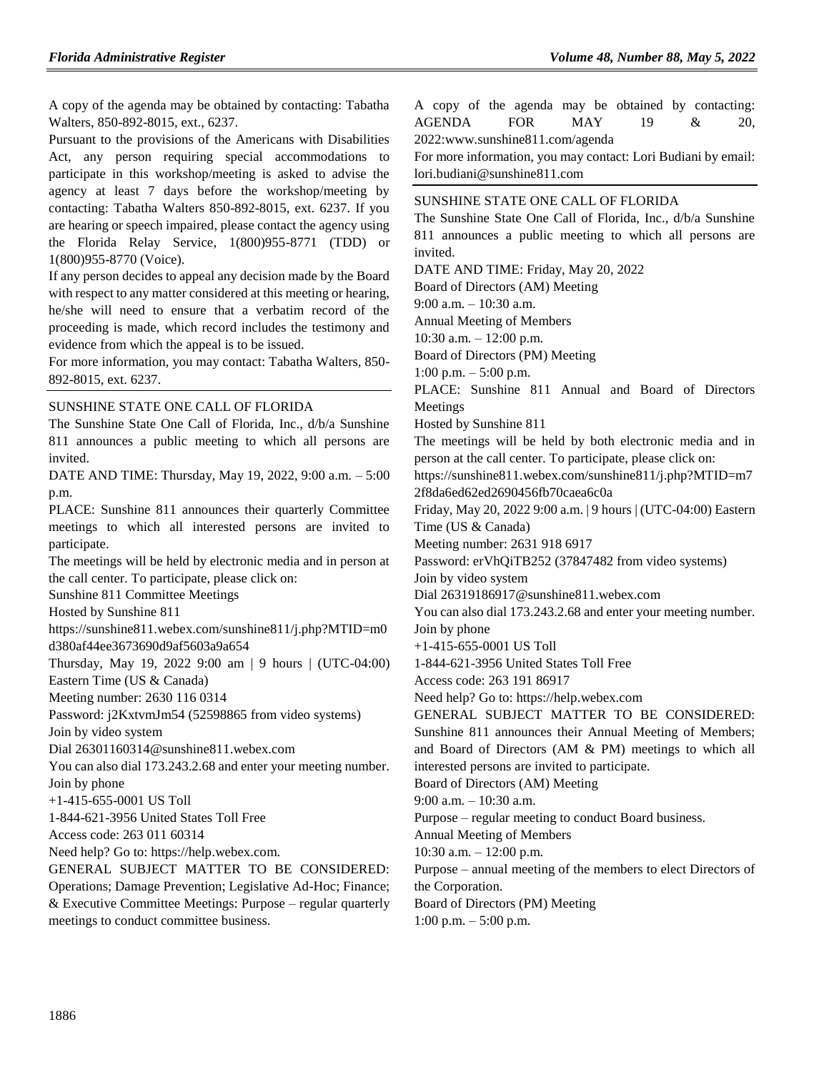A copy of the agenda may be obtained by contacting: Tabatha Walters, 850-892-8015, ext., 6237.

Pursuant to the provisions of the Americans with Disabilities Act, any person requiring special accommodations to participate in this workshop/meeting is asked to advise the agency at least 7 days before the workshop/meeting by contacting: Tabatha Walters 850-892-8015, ext. 6237. If you are hearing or speech impaired, please contact the agency using the Florida Relay Service, 1(800)955-8771 (TDD) or 1(800)955-8770 (Voice).

If any person decides to appeal any decision made by the Board with respect to any matter considered at this meeting or hearing, he/she will need to ensure that a verbatim record of the proceeding is made, which record includes the testimony and evidence from which the appeal is to be issued.

For more information, you may contact: Tabatha Walters, 850- 892-8015, ext. 6237.

#### [SUNSHINE STATE ONE CALL OF FLORIDA](https://www.flrules.org/gateway/organization.asp?id=700)

The Sunshine State One Call of Florida, Inc., d/b/a Sunshine 811 announces a public meeting to which all persons are invited.

DATE AND TIME: Thursday, May 19, 2022, 9:00 a.m. – 5:00 p.m.

PLACE: Sunshine 811 announces their quarterly Committee meetings to which all interested persons are invited to participate.

The meetings will be held by electronic media and in person at the call center. To participate, please click on:

Sunshine 811 Committee Meetings

Hosted by Sunshine 811

https://sunshine811.webex.com/sunshine811/j.php?MTID=m0 d380af44ee3673690d9af5603a9a654

Thursday, May 19, 2022 9:00 am | 9 hours | (UTC-04:00) Eastern Time (US & Canada)

Meeting number: 2630 116 0314

Password: j2KxtvmJm54 (52598865 from video systems)

Join by video system

Dial 26301160314@sunshine811.webex.com

You can also dial 173.243.2.68 and enter your meeting number. Join by phone

+1-415-655-0001 US Toll

1-844-621-3956 United States Toll Free

Access code: 263 011 60314

Need help? Go to: https://help.webex.com.

GENERAL SUBJECT MATTER TO BE CONSIDERED: Operations; Damage Prevention; Legislative Ad-Hoc; Finance; & Executive Committee Meetings: Purpose – regular quarterly meetings to conduct committee business.

|                                 |  |  |  |                |  |  | A copy of the agenda may be obtained by contacting: |               |     |
|---------------------------------|--|--|--|----------------|--|--|-----------------------------------------------------|---------------|-----|
|                                 |  |  |  | AGENDA FOR MAY |  |  | 19                                                  | $\mathcal{X}$ | 20. |
| 2022:www.sunshine811.com/agenda |  |  |  |                |  |  |                                                     |               |     |

For more information, you may contact: Lori Budiani by email: lori.budiani@sunshine811.com

## [SUNSHINE STATE ONE CALL OF FLORIDA](https://www.flrules.org/gateway/organization.asp?id=700)

The Sunshine State One Call of Florida, Inc., d/b/a Sunshine 811 announces a public meeting to which all persons are invited.

DATE AND TIME: Friday, May 20, 2022

Board of Directors (AM) Meeting

9:00 a.m. – 10:30 a.m.

Annual Meeting of Members

10:30 a.m. – 12:00 p.m.

Board of Directors (PM) Meeting

1:00 p.m. – 5:00 p.m.

PLACE: Sunshine 811 Annual and Board of Directors Meetings

Hosted by Sunshine 811

The meetings will be held by both electronic media and in person at the call center. To participate, please click on:

https://sunshine811.webex.com/sunshine811/j.php?MTID=m7 2f8da6ed62ed2690456fb70caea6c0a

Friday, May 20, 2022 9:00 a.m. | 9 hours | (UTC-04:00) Eastern Time (US & Canada)

Meeting number: 2631 918 6917

Password: erVhQiTB252 (37847482 from video systems) Join by video system

Dial 26319186917@sunshine811.webex.com

You can also dial 173.243.2.68 and enter your meeting number. Join by phone

+1-415-655-0001 US Toll

1-844-621-3956 United States Toll Free

Access code: 263 191 86917

Need help? Go to: https://help.webex.com

GENERAL SUBJECT MATTER TO BE CONSIDERED: Sunshine 811 announces their Annual Meeting of Members;

and Board of Directors (AM & PM) meetings to which all interested persons are invited to participate.

Board of Directors (AM) Meeting

9:00 a.m. – 10:30 a.m.

Purpose – regular meeting to conduct Board business.

Annual Meeting of Members

10:30 a.m. – 12:00 p.m.

Purpose – annual meeting of the members to elect Directors of the Corporation.

Board of Directors (PM) Meeting

1:00 p.m. – 5:00 p.m.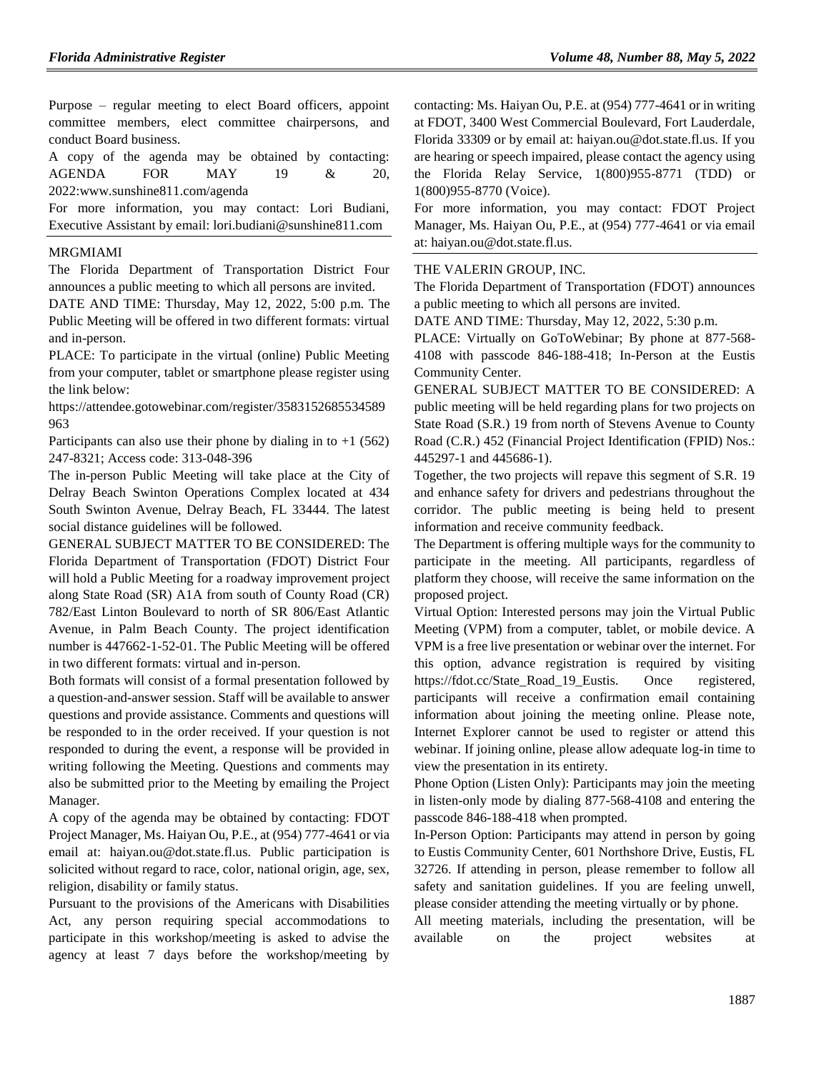Purpose – regular meeting to elect Board officers, appoint committee members, elect committee chairpersons, and conduct Board business.

A copy of the agenda may be obtained by contacting: AGENDA FOR MAY 19 & 20, 2022:www.sunshine811.com/agenda

For more information, you may contact: Lori Budiani, Executive Assistant by email: lori.budiani@sunshine811.com

#### [MRGMIAMI](https://www.flrules.org/gateway/organization.asp?id=981)

The Florida Department of Transportation District Four announces a public meeting to which all persons are invited.

DATE AND TIME: Thursday, May 12, 2022, 5:00 p.m. The Public Meeting will be offered in two different formats: virtual and in-person.

PLACE: To participate in the virtual (online) Public Meeting from your computer, tablet or smartphone please register using the link below:

https://attendee.gotowebinar.com/register/3583152685534589 963

Participants can also use their phone by dialing in to  $+1$  (562) 247-8321; Access code: 313-048-396

The in-person Public Meeting will take place at the City of Delray Beach Swinton Operations Complex located at 434 South Swinton Avenue, Delray Beach, FL 33444. The latest social distance guidelines will be followed.

GENERAL SUBJECT MATTER TO BE CONSIDERED: The Florida Department of Transportation (FDOT) District Four will hold a Public Meeting for a roadway improvement project along State Road (SR) A1A from south of County Road (CR) 782/East Linton Boulevard to north of SR 806/East Atlantic Avenue, in Palm Beach County. The project identification number is 447662-1-52-01. The Public Meeting will be offered in two different formats: virtual and in-person.

Both formats will consist of a formal presentation followed by a question-and-answer session. Staff will be available to answer questions and provide assistance. Comments and questions will be responded to in the order received. If your question is not responded to during the event, a response will be provided in writing following the Meeting. Questions and comments may also be submitted prior to the Meeting by emailing the Project Manager.

A copy of the agenda may be obtained by contacting: FDOT Project Manager, Ms. Haiyan Ou, P.E., at (954) 777-4641 or via email at: haiyan.ou@dot.state.fl.us. Public participation is solicited without regard to race, color, national origin, age, sex, religion, disability or family status.

Pursuant to the provisions of the Americans with Disabilities Act, any person requiring special accommodations to participate in this workshop/meeting is asked to advise the agency at least 7 days before the workshop/meeting by contacting: Ms. Haiyan Ou, P.E. at (954) 777-4641 or in writing at FDOT, 3400 West Commercial Boulevard, Fort Lauderdale, Florida 33309 or by email at: haiyan.ou@dot.state.fl.us. If you are hearing or speech impaired, please contact the agency using the Florida Relay Service, 1(800)955-8771 (TDD) or 1(800)955-8770 (Voice).

For more information, you may contact: FDOT Project Manager, Ms. Haiyan Ou, P.E., at (954) 777-4641 or via email at: haiyan.ou@dot.state.fl.us.

## [THE VALERIN GROUP, INC.](https://www.flrules.org/gateway/organization.asp?id=1012)

The Florida Department of Transportation (FDOT) announces a public meeting to which all persons are invited.

DATE AND TIME: Thursday, May 12, 2022, 5:30 p.m.

PLACE: Virtually on GoToWebinar; By phone at 877-568- 4108 with passcode 846-188-418; In-Person at the Eustis Community Center.

GENERAL SUBJECT MATTER TO BE CONSIDERED: A public meeting will be held regarding plans for two projects on State Road (S.R.) 19 from north of Stevens Avenue to County Road (C.R.) 452 (Financial Project Identification (FPID) Nos.: 445297-1 and 445686-1).

Together, the two projects will repave this segment of S.R. 19 and enhance safety for drivers and pedestrians throughout the corridor. The public meeting is being held to present information and receive community feedback.

The Department is offering multiple ways for the community to participate in the meeting. All participants, regardless of platform they choose, will receive the same information on the proposed project.

Virtual Option: Interested persons may join the Virtual Public Meeting (VPM) from a computer, tablet, or mobile device. A VPM is a free live presentation or webinar over the internet. For this option, advance registration is required by visiting https://fdot.cc/State\_Road\_19\_Eustis. Once registered, participants will receive a confirmation email containing information about joining the meeting online. Please note, Internet Explorer cannot be used to register or attend this webinar. If joining online, please allow adequate log-in time to view the presentation in its entirety.

Phone Option (Listen Only): Participants may join the meeting in listen-only mode by dialing 877-568-4108 and entering the passcode 846-188-418 when prompted.

In-Person Option: Participants may attend in person by going to Eustis Community Center, 601 Northshore Drive, Eustis, FL 32726. If attending in person, please remember to follow all safety and sanitation guidelines. If you are feeling unwell, please consider attending the meeting virtually or by phone.

All meeting materials, including the presentation, will be available on the project websites at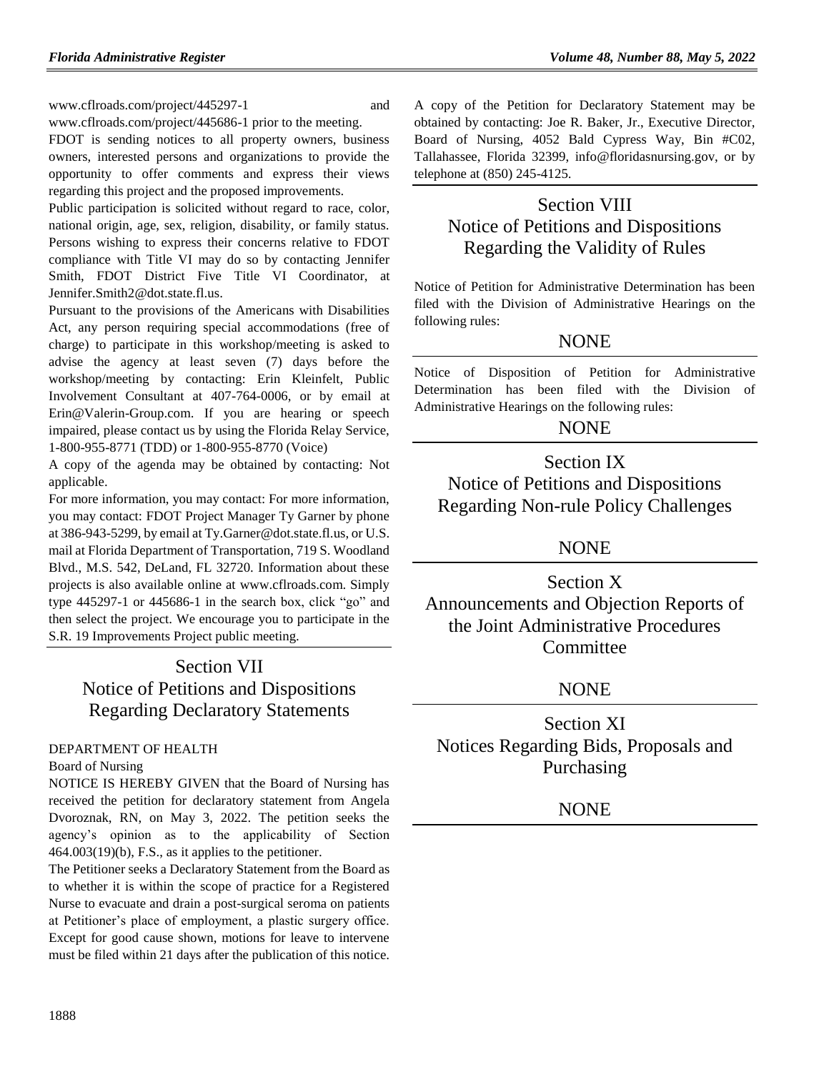www.cflroads.com/project/445297-1 and www.cflroads.com/project/445686-1 prior to the meeting.

FDOT is sending notices to all property owners, business owners, interested persons and organizations to provide the opportunity to offer comments and express their views regarding this project and the proposed improvements.

Public participation is solicited without regard to race, color, national origin, age, sex, religion, disability, or family status. Persons wishing to express their concerns relative to FDOT compliance with Title VI may do so by contacting Jennifer Smith, FDOT District Five Title VI Coordinator, at Jennifer.Smith2@dot.state.fl.us.

Pursuant to the provisions of the Americans with Disabilities Act, any person requiring special accommodations (free of charge) to participate in this workshop/meeting is asked to advise the agency at least seven (7) days before the workshop/meeting by contacting: Erin Kleinfelt, Public Involvement Consultant at 407-764-0006, or by email at Erin@Valerin-Group.com. If you are hearing or speech impaired, please contact us by using the Florida Relay Service, 1-800-955-8771 (TDD) or 1-800-955-8770 (Voice)

A copy of the agenda may be obtained by contacting: Not applicable.

For more information, you may contact: For more information, you may contact: FDOT Project Manager Ty Garner by phone at 386-943-5299, by email at Ty.Garner@dot.state.fl.us, or U.S. mail at Florida Department of Transportation, 719 S. Woodland Blvd., M.S. 542, DeLand, FL 32720. Information about these projects is also available online at www.cflroads.com. Simply type 445297-1 or 445686-1 in the search box, click "go" and then select the project. We encourage you to participate in the S.R. 19 Improvements Project public meeting.

# Section VII Notice of Petitions and Dispositions Regarding Declaratory Statements

# [DEPARTMENT OF HEALTH](https://www.flrules.org/gateway/department.asp?id=64)

## [Board of Nursing](https://www.flrules.org/gateway/organization.asp?id=332)

NOTICE IS HEREBY GIVEN that the Board of Nursing has received the petition for declaratory statement from Angela Dvoroznak, RN, on May 3, 2022. The petition seeks the agency's opinion as to the applicability of Section  $464.003(19)(b)$ , F.S., as it applies to the petitioner.

The Petitioner seeks a Declaratory Statement from the Board as to whether it is within the scope of practice for a Registered Nurse to evacuate and drain a post-surgical seroma on patients at Petitioner's place of employment, a plastic surgery office. Except for good cause shown, motions for leave to intervene must be filed within 21 days after the publication of this notice.

A copy of the Petition for Declaratory Statement may be obtained by contacting: Joe R. Baker, Jr., Executive Director, Board of Nursing, 4052 Bald Cypress Way, Bin #C02, Tallahassee, Florida 32399, info@floridasnursing.gov, or by telephone at (850) 245-4125.

# Section VIII Notice of Petitions and Dispositions Regarding the Validity of Rules

Notice of Petition for Administrative Determination has been filed with the Division of Administrative Hearings on the following rules:

# NONE

Notice of Disposition of Petition for Administrative Determination has been filed with the Division of Administrative Hearings on the following rules:

# **NONE**

Section IX Notice of Petitions and Dispositions Regarding Non-rule Policy Challenges

# NONE

Section X Announcements and Objection Reports of the Joint Administrative Procedures **Committee** 

# NONE

Section XI Notices Regarding Bids, Proposals and Purchasing

# **NONE**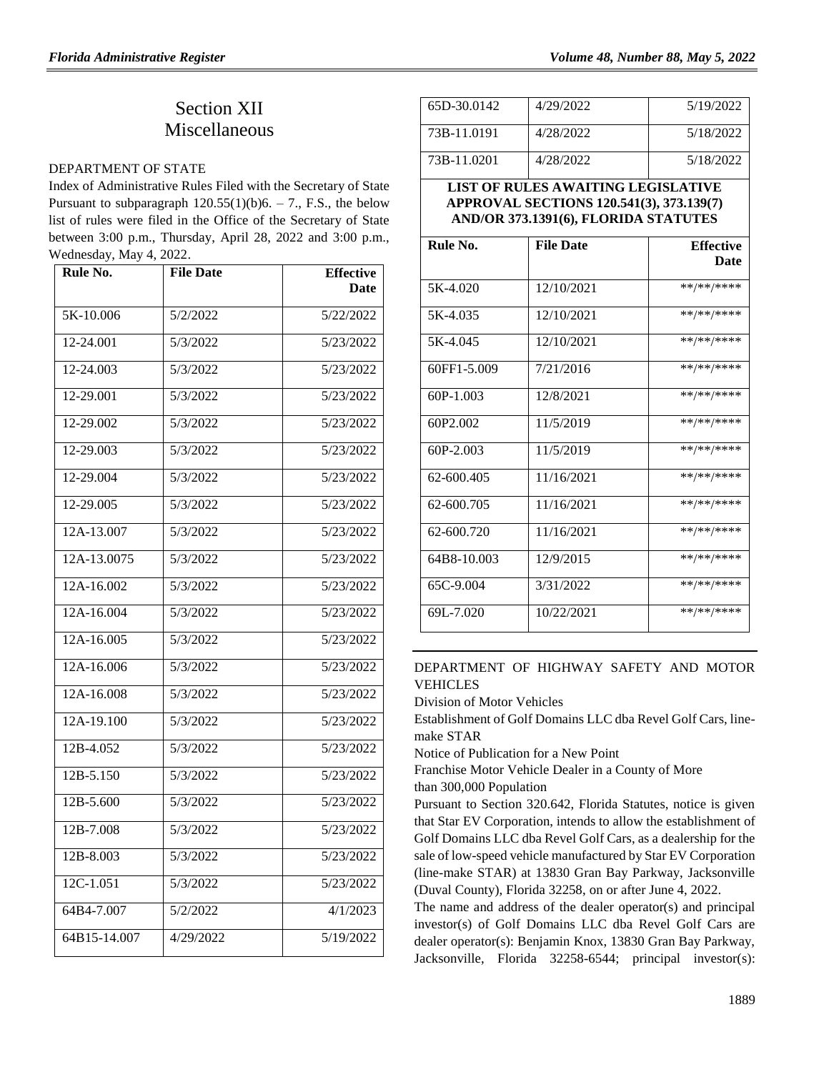# Section XII Miscellaneous

### [DEPARTMENT OF STATE](https://www.flrules.org/gateway/department.asp?id=1)

Index of Administrative Rules Filed with the Secretary of State Pursuant to subparagraph  $120.55(1)(b)6. - 7$ ., F.S., the below list of rules were filed in the Office of the Secretary of State between 3:00 p.m., Thursday, April 28, 2022 and 3:00 p.m., Wednesday, May 4, 2022.

| Rule No.     | <b>File Date</b> | <b>Effective</b><br><b>Date</b> |
|--------------|------------------|---------------------------------|
| 5K-10.006    | 5/2/2022         | 5/22/2022                       |
| 12-24.001    | 5/3/2022         | 5/23/2022                       |
| 12-24.003    | 5/3/2022         | 5/23/2022                       |
| 12-29.001    | 5/3/2022         | 5/23/2022                       |
| 12-29.002    | 5/3/2022         | 5/23/2022                       |
| 12-29.003    | 5/3/2022         | 5/23/2022                       |
| 12-29.004    | 5/3/2022         | 5/23/2022                       |
| 12-29.005    | 5/3/2022         | 5/23/2022                       |
| 12A-13.007   | 5/3/2022         | 5/23/2022                       |
| 12A-13.0075  | 5/3/2022         | 5/23/2022                       |
| 12A-16.002   | 5/3/2022         | 5/23/2022                       |
| 12A-16.004   | 5/3/2022         | 5/23/2022                       |
| 12A-16.005   | 5/3/2022         | 5/23/2022                       |
| 12A-16.006   | 5/3/2022         | 5/23/2022                       |
| 12A-16.008   | 5/3/2022         | 5/23/2022                       |
| 12A-19.100   | 5/3/2022         | 5/23/2022                       |
| 12B-4.052    | 5/3/2022         | 5/23/2022                       |
| 12B-5.150    | 5/3/2022         | 5/23/2022                       |
| 12B-5.600    | 5/3/2022         | 5/23/2022                       |
| 12B-7.008    | 5/3/2022         | 5/23/2022                       |
| 12B-8.003    | 5/3/2022         | 5/23/2022                       |
| 12C-1.051    | 5/3/2022         | 5/23/2022                       |
| 64B4-7.007   | 5/2/2022         | 4/1/2023                        |
| 64B15-14.007 | 4/29/2022        | 5/19/2022                       |

| 65D-30.0142                       | 4/29/2022                                                                        | 5/19/2022                       |
|-----------------------------------|----------------------------------------------------------------------------------|---------------------------------|
| 73B-11.0191                       | 4/28/2022                                                                        | 5/18/2022                       |
| 73B-11.0201                       | 4/28/2022                                                                        | 5/18/2022                       |
|                                   | <b>LIST OF RULES AWAITING LEGISLATIVE</b>                                        |                                 |
|                                   | APPROVAL SECTIONS 120.541(3), 373.139(7)<br>AND/OR 373.1391(6), FLORIDA STATUTES |                                 |
|                                   |                                                                                  |                                 |
| Rule No.                          | <b>File Date</b>                                                                 | <b>Effective</b><br><b>Date</b> |
|                                   |                                                                                  |                                 |
| 5K-4.020                          | 12/10/2021                                                                       | **/**/****                      |
| 5K-4.035                          | 12/10/2021                                                                       | **/**/****                      |
| 5K-4.045                          | 12/10/2021                                                                       | **/**/****                      |
| 60FF1-5.009                       | 7/21/2016                                                                        | **/**/****                      |
| 60P-1.003                         | 12/8/2021                                                                        | **/**/****                      |
| 60P <sub>2</sub> .00 <sub>2</sub> | 11/5/2019                                                                        | **/**/****                      |
| 60P-2.003                         | 11/5/2019                                                                        | **/**/****                      |
| 62-600.405                        | 11/16/2021                                                                       | **/**/****                      |
| 62-600.705                        | 11/16/2021                                                                       | **/**/****                      |
| 62-600.720                        | 11/16/2021                                                                       | **/**/****                      |
| 64B8-10.003                       | 12/9/2015                                                                        | **/**/****                      |
| 65C-9.004                         | 3/31/2022                                                                        | **/**/****                      |
| 69L-7.020                         | 10/22/2021                                                                       | $**$ ** /** ***                 |

# [DEPARTMENT OF HIGHWAY SAFETY AND MOTOR](https://www.flrules.org/gateway/department.asp?id=15)  [VEHICLES](https://www.flrules.org/gateway/department.asp?id=15)

[Division of Motor Vehicles](https://www.flrules.org/gateway/organization.asp?id=42)

Establishment of Golf Domains LLC dba Revel Golf Cars, linemake STAR

Notice of Publication for a New Point

Franchise Motor Vehicle Dealer in a County of More than 300,000 Population

Pursuant to Section 320.642, Florida Statutes, notice is given that Star EV Corporation, intends to allow the establishment of Golf Domains LLC dba Revel Golf Cars, as a dealership for the sale of low-speed vehicle manufactured by Star EV Corporation (line-make STAR) at 13830 Gran Bay Parkway, Jacksonville (Duval County), Florida 32258, on or after June 4, 2022.

The name and address of the dealer operator(s) and principal investor(s) of Golf Domains LLC dba Revel Golf Cars are dealer operator(s): Benjamin Knox, 13830 Gran Bay Parkway, Jacksonville, Florida 32258-6544; principal investor(s):